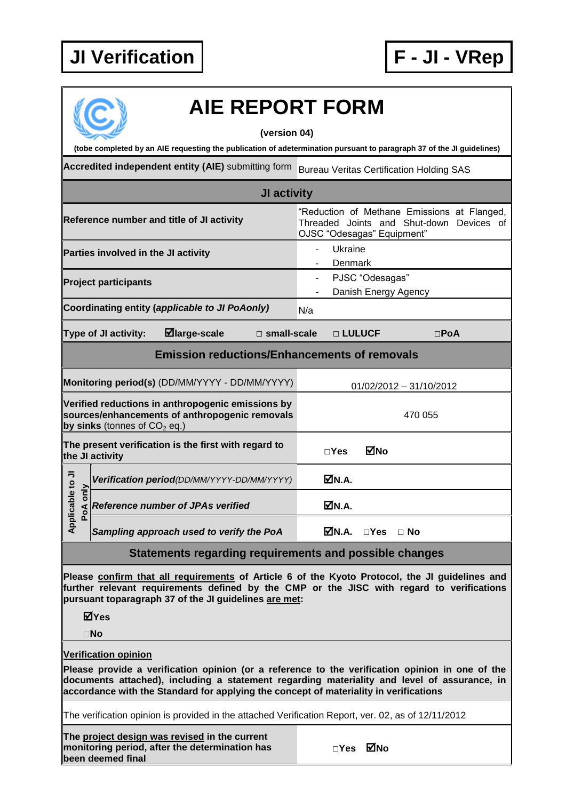## **JI Verification F - JI - VRep**



## **AIE REPORT FORM**

**(version 04)**

**(tobe completed by an AIE requesting the publication of adetermination pursuant to paragraph 37 of the JI guidelines)**

**Accredited independent entity (AIE)** submitting form Bureau Veritas Certification Holding SAS

| JI activity                                                                                                                           |  |                                            |  |                                                                                                                       |                                         |               |            |  |  |
|---------------------------------------------------------------------------------------------------------------------------------------|--|--------------------------------------------|--|-----------------------------------------------------------------------------------------------------------------------|-----------------------------------------|---------------|------------|--|--|
| Reference number and title of JI activity                                                                                             |  |                                            |  | "Reduction of Methane Emissions at Flanged,<br>Threaded Joints and Shut-down Devices of<br>OJSC "Odesagas" Equipment" |                                         |               |            |  |  |
| Parties involved in the JI activity                                                                                                   |  |                                            |  |                                                                                                                       | Ukraine<br>Denmark                      |               |            |  |  |
| <b>Project participants</b>                                                                                                           |  |                                            |  |                                                                                                                       | PJSC "Odesagas"<br>Danish Energy Agency |               |            |  |  |
| Coordinating entity (applicable to JI PoAonly)                                                                                        |  |                                            |  | N/a                                                                                                                   |                                         |               |            |  |  |
| $\boxdot$ large-scale<br>$\square$ small-scale<br>Type of JI activity:                                                                |  |                                            |  |                                                                                                                       | □ LULUCF                                |               | $\Box$ PoA |  |  |
| <b>Emission reductions/Enhancements of removals</b>                                                                                   |  |                                            |  |                                                                                                                       |                                         |               |            |  |  |
| Monitoring period(s) (DD/MM/YYYY - DD/MM/YYYY)                                                                                        |  |                                            |  |                                                                                                                       | 01/02/2012 - 31/10/2012                 |               |            |  |  |
| Verified reductions in anthropogenic emissions by<br>sources/enhancements of anthropogenic removals<br>by sinks (tonnes of $CO2$ eq.) |  |                                            |  |                                                                                                                       | 470 055                                 |               |            |  |  |
| The present verification is the first with regard to<br>the JI activity                                                               |  |                                            |  | $\square$ Yes                                                                                                         | ⊠No                                     |               |            |  |  |
| Applicable to JI<br>PoA only                                                                                                          |  | Verification period(DD/MM/YYYY-DD/MM/YYYY) |  |                                                                                                                       | ØN.A.                                   |               |            |  |  |
|                                                                                                                                       |  | <b>Reference number of JPAs verified</b>   |  |                                                                                                                       | MM.A.                                   |               |            |  |  |
|                                                                                                                                       |  | Sampling approach used to verify the PoA   |  |                                                                                                                       | MN.A.                                   | $\square$ Yes | $\Box$ No  |  |  |

## **Statements regarding requirements and possible changes**

**Please confirm that all requirements of Article 6 of the Kyoto Protocol, the JI guidelines and further relevant requirements defined by the CMP or the JISC with regard to verifications pursuant toparagraph 37 of the JI guidelines are met:**

**Yes**

**No**

**Verification opinion**

**Please provide a verification opinion (or a reference to the verification opinion in one of the documents attached), including a statement regarding materiality and level of assurance, in accordance with the Standard for applying the concept of materiality in verifications**

The verification opinion is provided in the attached Verification Report, ver. 02, as of 12/11/2012

**The project design was revised in the current monitoring period, after the determination has been deemed final**

| ⊠́№ |
|-----|
|     |